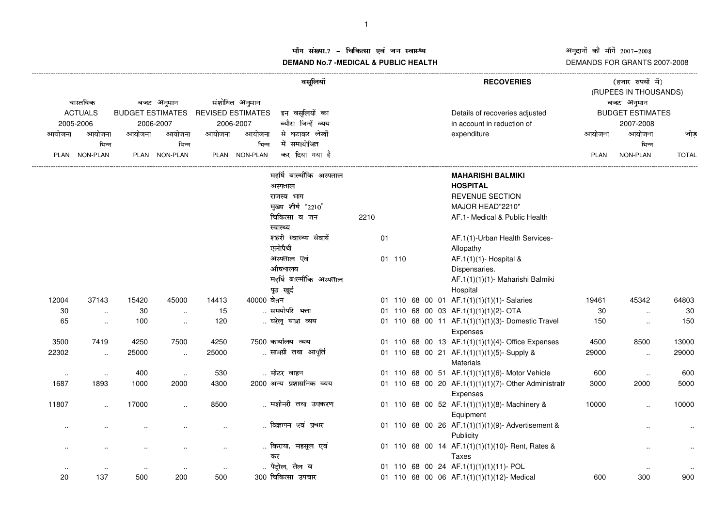## अनुदानों की माँगें 2007–2008<br>DEMANDS FOR GRANTS 2007-2008

## ग संख्या.7 – चिकित्सा एवं जन स्वास्थ्य<br>IAND N- 7 MEDIOAL 8 DUDLIO UEALTIL **DEMAND No.7 -MEDICAL & PUBLIC HEALTH**

|                                         |                 |                         |                      | वसूलियॉ                                              |               |                                       |      |    | <b>RECOVERIES</b> |  | (हजार रुपयों में)<br>(RUPEES IN THOUSANDS)             |             |                         |              |
|-----------------------------------------|-----------------|-------------------------|----------------------|------------------------------------------------------|---------------|---------------------------------------|------|----|-------------------|--|--------------------------------------------------------|-------------|-------------------------|--------------|
| वास्तविक<br><b>ACTUALS</b><br>2005-2006 |                 | बजट अनुमान<br>2006-2007 |                      | संशोधित अनुमान<br>BUDGET ESTIMATES REVISED ESTIMATES |               |                                       |      |    |                   |  |                                                        |             | बजट अनुमान              |              |
|                                         |                 |                         |                      |                                                      |               | इन वसूलियों का<br>ब्यौरा जिन्हें व्यय |      |    |                   |  | Details of recoveries adjusted                         |             | <b>BUDGET ESTIMATES</b> |              |
|                                         |                 |                         |                      | 2006-2007<br>आयोजना<br>आयोजना                        |               | से घटाकर लेखों                        |      |    |                   |  | in account in reduction of                             |             | 2007-2008<br>आयोजना     |              |
| आयोजना                                  | आयोजना<br>भिन्न | आयोजना                  | आयोजना<br>भिन्न      |                                                      | भिन्न         | में समायोजित                          |      |    |                   |  | expenditure                                            | आयोजना      | भिन्न                   | जोड          |
|                                         | PLAN NON-PLAN   |                         | PLAN NON-PLAN        |                                                      | PLAN NON-PLAN | कर दिया गया है                        |      |    |                   |  |                                                        | <b>PLAN</b> | NON-PLAN                | <b>TOTAL</b> |
|                                         |                 |                         |                      |                                                      |               |                                       |      |    |                   |  |                                                        |             |                         |              |
|                                         |                 |                         |                      |                                                      |               | महर्षि बाल्मीकि अस्पताल               |      |    |                   |  | <b>MAHARISHI BALMIKI</b>                               |             |                         |              |
|                                         |                 |                         |                      |                                                      |               | अस्पताल                               |      |    |                   |  | <b>HOSPITAL</b>                                        |             |                         |              |
|                                         |                 |                         |                      |                                                      |               | राजस्व भाग                            |      |    |                   |  | <b>REVENUE SECTION</b>                                 |             |                         |              |
|                                         |                 |                         |                      |                                                      |               | मुख्य शीर्ष "2210"                    |      |    |                   |  | MAJOR HEAD"2210"                                       |             |                         |              |
|                                         |                 |                         |                      |                                                      |               | चिकित्सा व जन                         | 2210 |    |                   |  | AF.1- Medical & Public Health                          |             |                         |              |
|                                         |                 |                         |                      |                                                      |               | स्वास्थ्य                             |      |    |                   |  |                                                        |             |                         |              |
|                                         |                 |                         |                      |                                                      |               | शहरी स्वास्थ्य सेवायें                |      | 01 |                   |  | AF.1(1)-Urban Health Services-                         |             |                         |              |
|                                         |                 |                         |                      |                                                      |               | एलोपैथी                               |      |    |                   |  | Allopathy                                              |             |                         |              |
|                                         |                 |                         |                      |                                                      |               | अस्पताल एवं                           |      |    | 01 110            |  | AF.1(1)(1)- Hospital &                                 |             |                         |              |
|                                         |                 |                         |                      |                                                      |               | औषधालय                                |      |    |                   |  | Dispensaries.                                          |             |                         |              |
|                                         |                 |                         |                      |                                                      |               | महर्षि बाल्मीकि अस्पताल               |      |    |                   |  | AF.1(1)(1)(1)- Maharishi Balmiki                       |             |                         |              |
|                                         |                 |                         |                      |                                                      |               | पूठ खुर्द                             |      |    |                   |  | Hospital                                               |             |                         |              |
| 12004                                   | 37143           | 15420                   | 45000                | 14413                                                | 40000 बेतन    |                                       |      |    |                   |  | 01 110 68 00 01 AF.1(1)(1)(1)(1)- Salaries             | 19461       | 45342                   | 64803        |
| 30                                      | $\ldots$        | 30                      | $\sim$               | 15                                                   |               | समयोपरि भत्ता                         |      |    |                   |  | 01 110 68 00 03 AF.1(1)(1)(1)(2)- OTA                  | 30          | $\ddotsc$               | 30           |
| 65                                      | $\sim$          | 100                     | $\ldots$             | 120                                                  |               | घरेलू यात्रा व्यय                     |      |    |                   |  | 01 110 68 00 11 AF.1(1)(1)(1)(3)- Domestic Travel      | 150         | $\ldots$                | 150          |
|                                         |                 |                         |                      |                                                      |               |                                       |      |    |                   |  | Expenses                                               |             |                         |              |
| 3500                                    | 7419            | 4250                    | 7500                 | 4250                                                 |               | 7500 कार्यालय व्यय                    |      |    |                   |  | 01 110 68 00 13 AF.1(1)(1)(1)(4)- Office Expenses      | 4500        | 8500                    | 13000        |
| 22302                                   | $\ldots$        | 25000                   | $\sim$               | 25000                                                |               | सामग्री तथा आपूर्ति                   |      |    |                   |  | 01 110 68 00 21 AF.1(1)(1)(1)(5)-Supply &              | 29000       | $\ddotsc$               | 29000        |
|                                         |                 |                         |                      |                                                      |               |                                       |      |    |                   |  | Materials                                              |             |                         |              |
| $\cdot$ .                               | $\sim$          | 400                     | $\sim$               | 530                                                  |               | मोटर वाहन                             |      |    |                   |  | 01 110 68 00 51 AF.1(1)(1)(1)(6)- Motor Vehicle        | 600         | $\sim$                  | 600          |
| 1687                                    | 1893            | 1000                    | 2000                 | 4300                                                 |               | 2000 अन्य प्रशासनिक व्यय              |      |    |                   |  | 01 110 68 00 20 AF.1(1)(1)(1)(7)- Other Administrating | 3000        | 2000                    | 5000         |
|                                         |                 |                         |                      |                                                      |               |                                       |      |    |                   |  | <b>Expenses</b>                                        |             |                         |              |
| 11807                                   | $\ddotsc$       | 17000                   | $\ddot{\phantom{a}}$ | 8500                                                 |               | मशीनरी तथा उपकरण                      |      |    |                   |  | 01 110 68 00 52 AF.1(1)(1)(1)(8)- Machinery &          | 10000       |                         | 10000        |
|                                         |                 |                         |                      |                                                      |               |                                       |      |    |                   |  | Equipment                                              |             |                         |              |
|                                         |                 |                         |                      |                                                      |               | विज्ञापन एवं प्रचार                   |      |    |                   |  | 01 110 68 00 26 AF.1(1)(1)(1)(9)- Advertisement &      |             |                         |              |
|                                         |                 |                         |                      |                                                      |               |                                       |      |    |                   |  | Publicity                                              |             |                         |              |
|                                         |                 |                         |                      |                                                      |               | किराया, महसूल एवं                     |      |    |                   |  | 01 110 68 00 14 AF.1(1)(1)(1)(10)- Rent, Rates &       |             |                         |              |
|                                         |                 |                         |                      |                                                      |               | कर                                    |      |    |                   |  | Taxes                                                  |             |                         |              |
|                                         |                 |                         |                      | $\sim$                                               |               | पेट्रोल, तेल व                        |      |    |                   |  | 01 110 68 00 24 AF.1(1)(1)(1)(11)- POL                 |             | $\sim$                  |              |
| 20                                      | 137             | 500                     | 200                  | 500                                                  |               | 300 चिकित्सा उपचार                    |      |    |                   |  | 01 110 68 00 06 AF.1(1)(1)(1)(12)- Medical             | 600         | 300                     | 900          |
|                                         |                 |                         |                      |                                                      |               |                                       |      |    |                   |  |                                                        |             |                         |              |